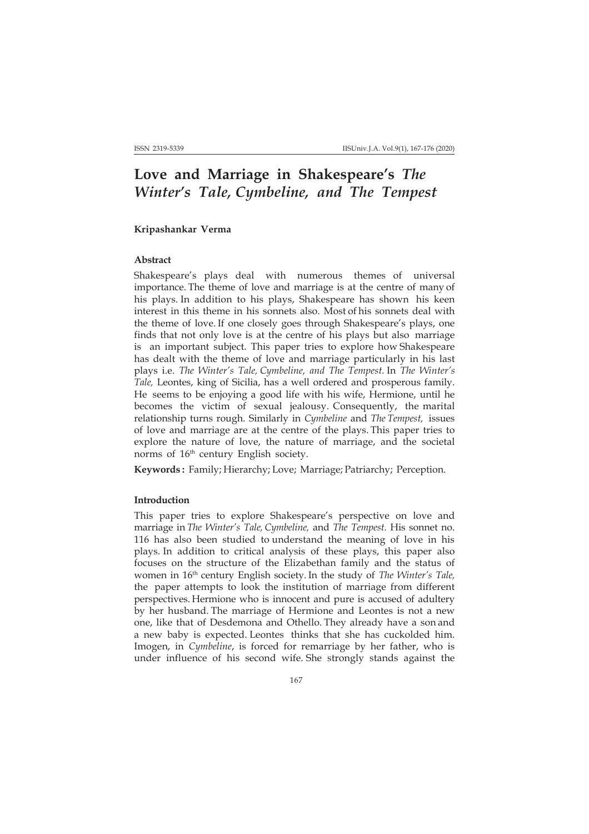# **Love and Marriage in Shakespeare's** *The Winter's Tale, Cymbeline, and The Tempest*

## **Kripashankar Verma**

### **Abstract**

Shakespeare's plays deal with numerous themes of universal importance. The theme of love and marriage is at the centre of many of his plays. In addition to his plays, Shakespeare has shown his keen interest in this theme in his sonnets also. Most of his sonnets deal with the theme of love. If one closely goes through Shakespeare's plays, one finds that not only love is at the centre of his plays but also marriage is an important subject. This paper tries to explore how Shakespeare has dealt with the theme of love and marriage particularly in his last plays i.e. *The Winter's Tale, Cymbeline, and The Tempest.* In *The Winter's Tale,* Leontes, king of Sicilia, has a well ordered and prosperous family. He seems to be enjoying a good life with his wife, Hermione, until he becomes the victim of sexual jealousy. Consequently, the marital relationship turns rough. Similarly in *Cymbeline* and *The Tempest,* issues of love and marriage are at the centre of the plays. This paper tries to explore the nature of love, the nature of marriage, and the societal norms of 16<sup>th</sup> century English society.

**Keywords :** Family; Hierarchy; Love; Marriage; Patriarchy; Perception.

#### **Introduction**

This paper tries to explore Shakespeare's perspective on love and marriage in *The Winter's Tale, Cymbeline,* and *The Tempest.* His sonnet no. 116 has also been studied to understand the meaning of love in his plays. In addition to critical analysis of these plays, this paper also focuses on the structure of the Elizabethan family and the status of women in 16th century English society. In the study of *The Winter's Tale,* the paper attempts to look the institution of marriage from different perspectives. Hermione who is innocent and pure is accused of adultery by her husband. The marriage of Hermione and Leontes is not a new one, like that of Desdemona and Othello. They already have a son and a new baby is expected. Leontes thinks that she has cuckolded him. Imogen, in *Cymbeline*, is forced for remarriage by her father, who is under influence of his second wife. She strongly stands against the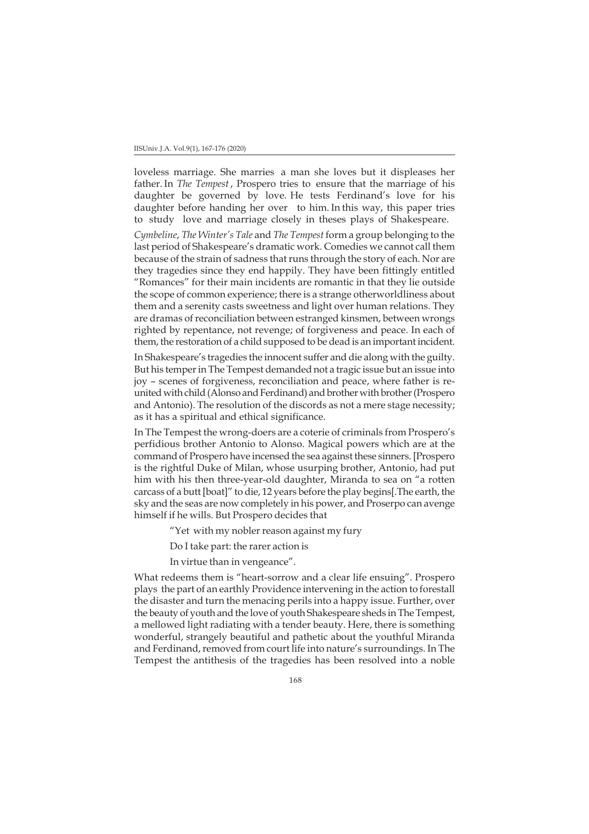loveless marriage. She marries a man she loves but it displeases her father. In *The Tempest* , Prospero tries to ensure that the marriage of his daughter be governed by love. He tests Ferdinand's love for his daughter before handing her over to him. In this way, this paper tries to study love and marriage closely in theses plays of Shakespeare.

*Cymbeline*, *The Winter's Tale* and *The Tempest* form a group belonging to the last period of Shakespeare's dramatic work. Comedies we cannot call them because of the strain of sadness that runs through the story of each. Nor are they tragedies since they end happily. They have been fittingly entitled "Romances" for their main incidents are romantic in that they lie outside the scope of common experience; there is a strange otherworldliness about them and a serenity casts sweetness and light over human relations. They are dramas of reconciliation between estranged kinsmen, between wrongs righted by repentance, not revenge; of forgiveness and peace. In each of them, the restoration of a child supposed to be dead is an important incident.

In Shakespeare's tragedies the innocent suffer and die along with the guilty. But his temper in The Tempest demanded not a tragic issue but an issue into joy – scenes of forgiveness, reconciliation and peace, where father is reunited with child (Alonso and Ferdinand) and brother with brother (Prospero and Antonio). The resolution of the discords as not a mere stage necessity; as it has a spiritual and ethical significance.

In The Tempest the wrong-doers are a coterie of criminals from Prospero's perfidious brother Antonio to Alonso. Magical powers which are at the command of Prospero have incensed the sea against these sinners. [Prospero is the rightful Duke of Milan, whose usurping brother, Antonio, had put him with his then three-year-old daughter, Miranda to sea on "a rotten carcass of a butt [boat]" to die, 12 years before the play begins[.The earth, the sky and the seas are now completely in his power, and Proserpo can avenge himself if he wills. But Prospero decides that

"Yet with my nobler reason against my fury

Do I take part: the rarer action is

In virtue than in vengeance".

What redeems them is "heart-sorrow and a clear life ensuing". Prospero plays the part of an earthly Providence intervening in the action to forestall the disaster and turn the menacing perils into a happy issue. Further, over the beauty of youth and the love of youth Shakespeare sheds in The Tempest, a mellowed light radiating with a tender beauty. Here, there is something wonderful, strangely beautiful and pathetic about the youthful Miranda and Ferdinand, removed from court life into nature's surroundings. In The Tempest the antithesis of the tragedies has been resolved into a noble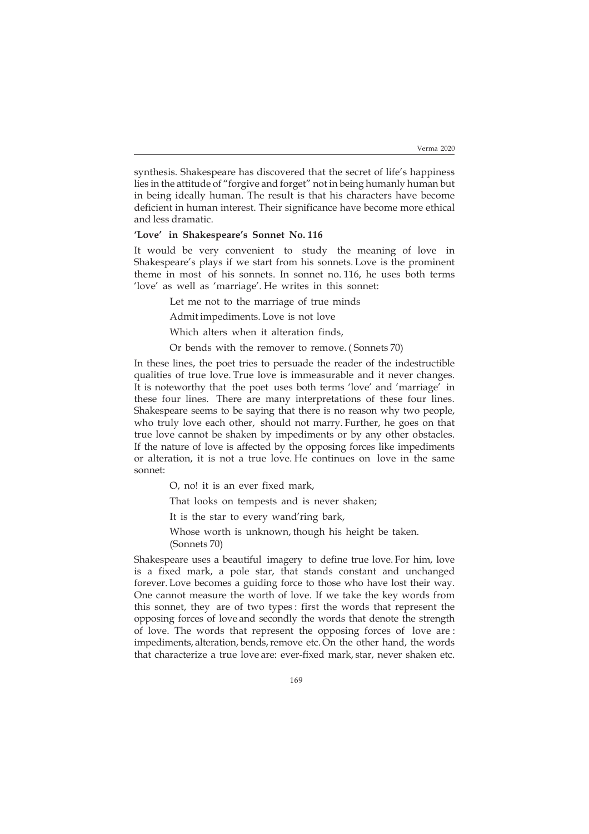synthesis. Shakespeare has discovered that the secret of life's happiness lies in the attitude of "forgive and forget" not in being humanly human but in being ideally human. The result is that his characters have become deficient in human interest. Their significance have become more ethical and less dramatic.

# **'Love' in Shakespeare's Sonnet No. 116**

It would be very convenient to study the meaning of love in Shakespeare's plays if we start from his sonnets. Love is the prominent theme in most of his sonnets. In sonnet no. 116, he uses both terms 'love' as well as 'marriage'. He writes in this sonnet:

Let me not to the marriage of true minds

Admit impediments. Love is not love

Which alters when it alteration finds,

Or bends with the remover to remove. ( Sonnets 70)

In these lines, the poet tries to persuade the reader of the indestructible qualities of true love. True love is immeasurable and it never changes. It is noteworthy that the poet uses both terms 'love' and 'marriage' in these four lines. There are many interpretations of these four lines. Shakespeare seems to be saying that there is no reason why two people, who truly love each other, should not marry. Further, he goes on that true love cannot be shaken by impediments or by any other obstacles. If the nature of love is affected by the opposing forces like impediments or alteration, it is not a true love. He continues on love in the same sonnet:

O, no! it is an ever fixed mark,

That looks on tempests and is never shaken;

It is the star to every wand'ring bark,

Whose worth is unknown, though his height be taken. (Sonnets 70)

Shakespeare uses a beautiful imagery to define true love. For him, love is a fixed mark, a pole star, that stands constant and unchanged forever. Love becomes a guiding force to those who have lost their way. One cannot measure the worth of love. If we take the key words from this sonnet, they are of two types : first the words that represent the opposing forces of love and secondly the words that denote the strength of love. The words that represent the opposing forces of love are : impediments, alteration, bends, remove etc. On the other hand, the words that characterize a true love are: ever-fixed mark, star, never shaken etc.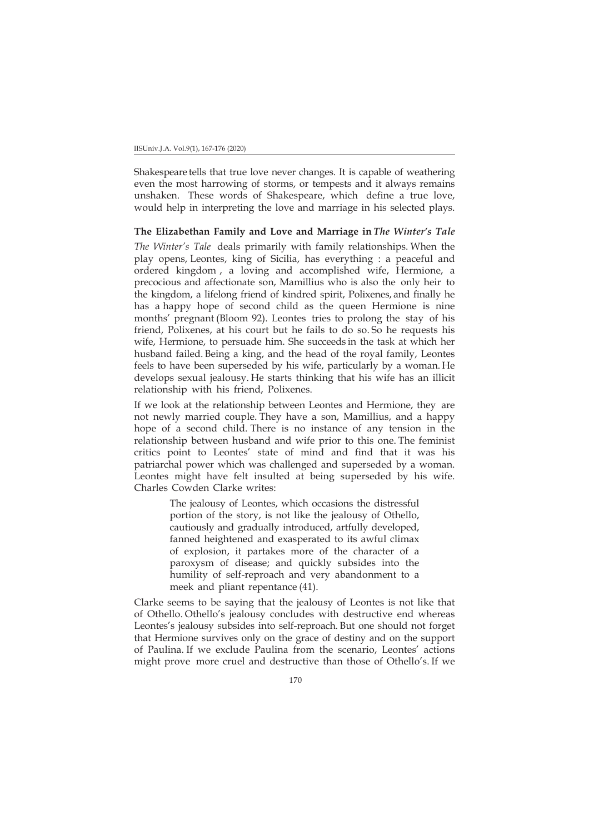Shakespeare tells that true love never changes. It is capable of weathering even the most harrowing of storms, or tempests and it always remains unshaken. These words of Shakespeare, which define a true love, would help in interpreting the love and marriage in his selected plays.

## **The Elizabethan Family and Love and Marriage in** *The Winter's Tale*

*The Winter's Tale* deals primarily with family relationships. When the play opens, Leontes, king of Sicilia, has everything : a peaceful and ordered kingdom , a loving and accomplished wife, Hermione, a precocious and affectionate son, Mamillius who is also the only heir to the kingdom, a lifelong friend of kindred spirit, Polixenes, and finally he has a happy hope of second child as the queen Hermione is nine months' pregnant (Bloom 92). Leontes tries to prolong the stay of his friend, Polixenes, at his court but he fails to do so. So he requests his wife, Hermione, to persuade him. She succeeds in the task at which her husband failed. Being a king, and the head of the royal family, Leontes feels to have been superseded by his wife, particularly by a woman. He develops sexual jealousy. He starts thinking that his wife has an illicit relationship with his friend, Polixenes.

If we look at the relationship between Leontes and Hermione, they are not newly married couple. They have a son, Mamillius, and a happy hope of a second child. There is no instance of any tension in the relationship between husband and wife prior to this one. The feminist critics point to Leontes' state of mind and find that it was his patriarchal power which was challenged and superseded by a woman. Leontes might have felt insulted at being superseded by his wife. Charles Cowden Clarke writes:

> The jealousy of Leontes, which occasions the distressful portion of the story, is not like the jealousy of Othello, cautiously and gradually introduced, artfully developed, fanned heightened and exasperated to its awful climax of explosion, it partakes more of the character of a paroxysm of disease; and quickly subsides into the humility of self-reproach and very abandonment to a meek and pliant repentance (41).

Clarke seems to be saying that the jealousy of Leontes is not like that of Othello. Othello's jealousy concludes with destructive end whereas Leontes's jealousy subsides into self-reproach. But one should not forget that Hermione survives only on the grace of destiny and on the support of Paulina. If we exclude Paulina from the scenario, Leontes' actions might prove more cruel and destructive than those of Othello's. If we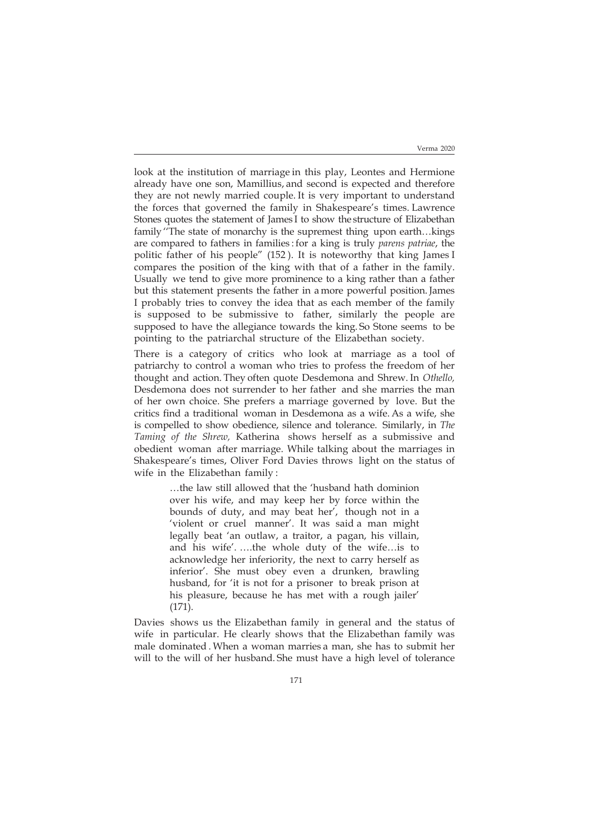look at the institution of marriage in this play, Leontes and Hermione already have one son, Mamillius, and second is expected and therefore they are not newly married couple. It is very important to understand the forces that governed the family in Shakespeare's times. Lawrence Stones quotes the statement of James I to show the structure of Elizabethan family ''The state of monarchy is the supremest thing upon earth…kings are compared to fathers in families : for a king is truly *parens patriae*, the politic father of his people" (152 ). It is noteworthy that king James I compares the position of the king with that of a father in the family. Usually we tend to give more prominence to a king rather than a father but this statement presents the father in a more powerful position. James I probably tries to convey the idea that as each member of the family is supposed to be submissive to father, similarly the people are supposed to have the allegiance towards the king. So Stone seems to be pointing to the patriarchal structure of the Elizabethan society.

There is a category of critics who look at marriage as a tool of patriarchy to control a woman who tries to profess the freedom of her thought and action. They often quote Desdemona and Shrew. In *Othello,* Desdemona does not surrender to her father and she marries the man of her own choice. She prefers a marriage governed by love. But the critics find a traditional woman in Desdemona as a wife. As a wife, she is compelled to show obedience, silence and tolerance. Similarly, in *The Taming of the Shrew,* Katherina shows herself as a submissive and obedient woman after marriage. While talking about the marriages in Shakespeare's times, Oliver Ford Davies throws light on the status of wife in the Elizabethan family :

> …the law still allowed that the 'husband hath dominion over his wife, and may keep her by force within the bounds of duty, and may beat her', though not in a 'violent or cruel manner'. It was said a man might legally beat 'an outlaw, a traitor, a pagan, his villain, and his wife'. ….the whole duty of the wife…is to acknowledge her inferiority, the next to carry herself as inferior'. She must obey even a drunken, brawling husband, for 'it is not for a prisoner to break prison at his pleasure, because he has met with a rough jailer' (171).

Davies shows us the Elizabethan family in general and the status of wife in particular. He clearly shows that the Elizabethan family was male dominated . When a woman marries a man, she has to submit her will to the will of her husband. She must have a high level of tolerance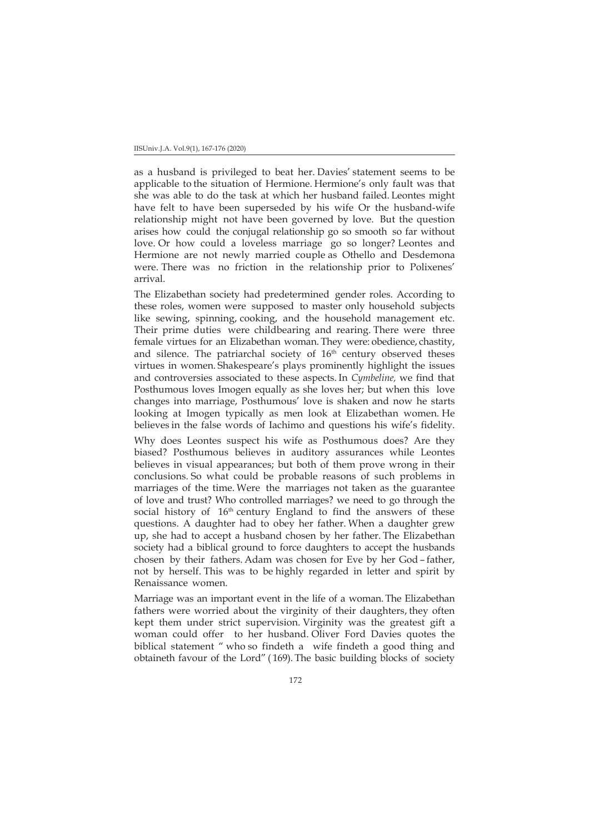as a husband is privileged to beat her. Davies' statement seems to be applicable to the situation of Hermione. Hermione's only fault was that she was able to do the task at which her husband failed. Leontes might have felt to have been superseded by his wife Or the husband-wife relationship might not have been governed by love. But the question arises how could the conjugal relationship go so smooth so far without love. Or how could a loveless marriage go so longer? Leontes and Hermione are not newly married couple as Othello and Desdemona were. There was no friction in the relationship prior to Polixenes' arrival.

The Elizabethan society had predetermined gender roles. According to these roles, women were supposed to master only household subjects like sewing, spinning, cooking, and the household management etc. Their prime duties were childbearing and rearing. There were three female virtues for an Elizabethan woman. They were: obedience, chastity, and silence. The patriarchal society of  $16<sup>th</sup>$  century observed theses virtues in women. Shakespeare's plays prominently highlight the issues and controversies associated to these aspects. In *Cymbeline,* we find that Posthumous loves Imogen equally as she loves her; but when this love changes into marriage, Posthumous' love is shaken and now he starts looking at Imogen typically as men look at Elizabethan women. He believes in the false words of Iachimo and questions his wife's fidelity.

Why does Leontes suspect his wife as Posthumous does? Are they biased? Posthumous believes in auditory assurances while Leontes believes in visual appearances; but both of them prove wrong in their conclusions. So what could be probable reasons of such problems in marriages of the time. Were the marriages not taken as the guarantee of love and trust? Who controlled marriages? we need to go through the social history of  $16<sup>th</sup>$  century England to find the answers of these questions. A daughter had to obey her father. When a daughter grew up, she had to accept a husband chosen by her father. The Elizabethan society had a biblical ground to force daughters to accept the husbands chosen by their fathers. Adam was chosen for Eve by her God – father, not by herself. This was to be highly regarded in letter and spirit by Renaissance women.

Marriage was an important event in the life of a woman. The Elizabethan fathers were worried about the virginity of their daughters, they often kept them under strict supervision. Virginity was the greatest gift a woman could offer to her husband. Oliver Ford Davies quotes the biblical statement " who so findeth a wife findeth a good thing and obtaineth favour of the Lord" ( 169). The basic building blocks of society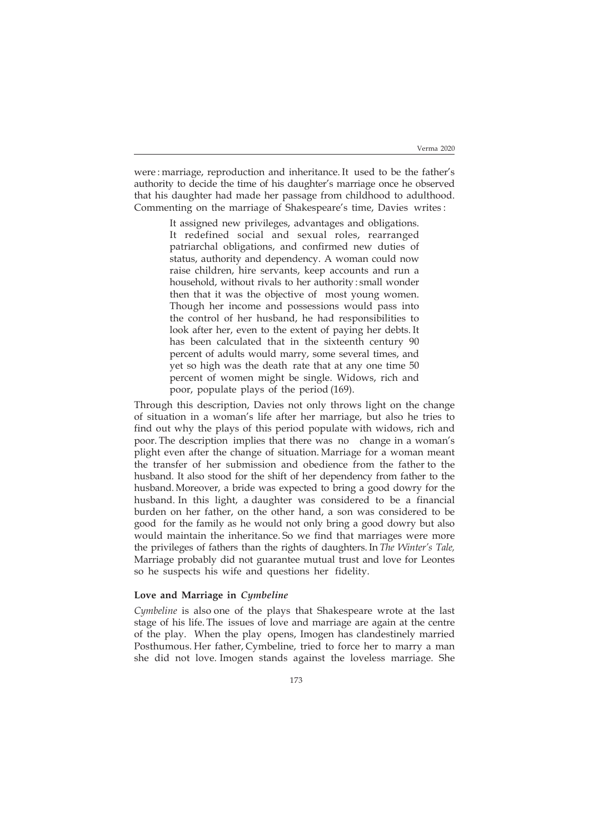were : marriage, reproduction and inheritance. It used to be the father's authority to decide the time of his daughter's marriage once he observed that his daughter had made her passage from childhood to adulthood. Commenting on the marriage of Shakespeare's time, Davies writes :

> It assigned new privileges, advantages and obligations. It redefined social and sexual roles, rearranged patriarchal obligations, and confirmed new duties of status, authority and dependency. A woman could now raise children, hire servants, keep accounts and run a household, without rivals to her authority : small wonder then that it was the objective of most young women. Though her income and possessions would pass into the control of her husband, he had responsibilities to look after her, even to the extent of paying her debts. It has been calculated that in the sixteenth century 90 percent of adults would marry, some several times, and yet so high was the death rate that at any one time 50 percent of women might be single. Widows, rich and poor, populate plays of the period (169).

Through this description, Davies not only throws light on the change of situation in a woman's life after her marriage, but also he tries to find out why the plays of this period populate with widows, rich and poor. The description implies that there was no change in a woman's plight even after the change of situation. Marriage for a woman meant the transfer of her submission and obedience from the father to the husband. It also stood for the shift of her dependency from father to the husband. Moreover, a bride was expected to bring a good dowry for the husband. In this light, a daughter was considered to be a financial burden on her father, on the other hand, a son was considered to be good for the family as he would not only bring a good dowry but also would maintain the inheritance. So we find that marriages were more the privileges of fathers than the rights of daughters. In *The Winter's Tale,* Marriage probably did not guarantee mutual trust and love for Leontes so he suspects his wife and questions her fidelity.

# **Love and Marriage in** *Cymbeline*

*Cymbeline* is also one of the plays that Shakespeare wrote at the last stage of his life. The issues of love and marriage are again at the centre of the play. When the play opens, Imogen has clandestinely married Posthumous. Her father, Cymbeline, tried to force her to marry a man she did not love. Imogen stands against the loveless marriage. She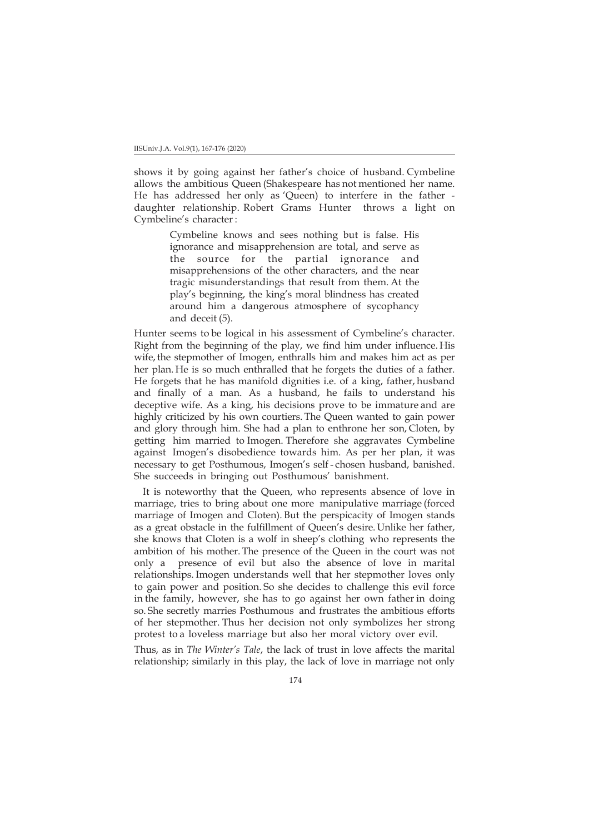shows it by going against her father's choice of husband. Cymbeline allows the ambitious Queen (Shakespeare has not mentioned her name. He has addressed her only as 'Queen) to interfere in the father daughter relationship. Robert Grams Hunter throws a light on Cymbeline's character :

> Cymbeline knows and sees nothing but is false. His ignorance and misapprehension are total, and serve as the source for the partial ignorance and misapprehensions of the other characters, and the near tragic misunderstandings that result from them. At the play's beginning, the king's moral blindness has created around him a dangerous atmosphere of sycophancy and deceit (5).

Hunter seems to be logical in his assessment of Cymbeline's character. Right from the beginning of the play, we find him under influence. His wife, the stepmother of Imogen, enthralls him and makes him act as per her plan. He is so much enthralled that he forgets the duties of a father. He forgets that he has manifold dignities i.e. of a king, father, husband and finally of a man. As a husband, he fails to understand his deceptive wife. As a king, his decisions prove to be immature and are highly criticized by his own courtiers. The Queen wanted to gain power and glory through him. She had a plan to enthrone her son, Cloten, by getting him married to Imogen. Therefore she aggravates Cymbeline against Imogen's disobedience towards him. As per her plan, it was necessary to get Posthumous, Imogen's self - chosen husband, banished. She succeeds in bringing out Posthumous' banishment.

 It is noteworthy that the Queen, who represents absence of love in marriage, tries to bring about one more manipulative marriage (forced marriage of Imogen and Cloten). But the perspicacity of Imogen stands as a great obstacle in the fulfillment of Queen's desire. Unlike her father, she knows that Cloten is a wolf in sheep's clothing who represents the ambition of his mother. The presence of the Queen in the court was not only a presence of evil but also the absence of love in marital relationships. Imogen understands well that her stepmother loves only to gain power and position. So she decides to challenge this evil force in the family, however, she has to go against her own father in doing so. She secretly marries Posthumous and frustrates the ambitious efforts of her stepmother. Thus her decision not only symbolizes her strong protest to a loveless marriage but also her moral victory over evil.

Thus, as in *The Winter's Tale*, the lack of trust in love affects the marital relationship; similarly in this play, the lack of love in marriage not only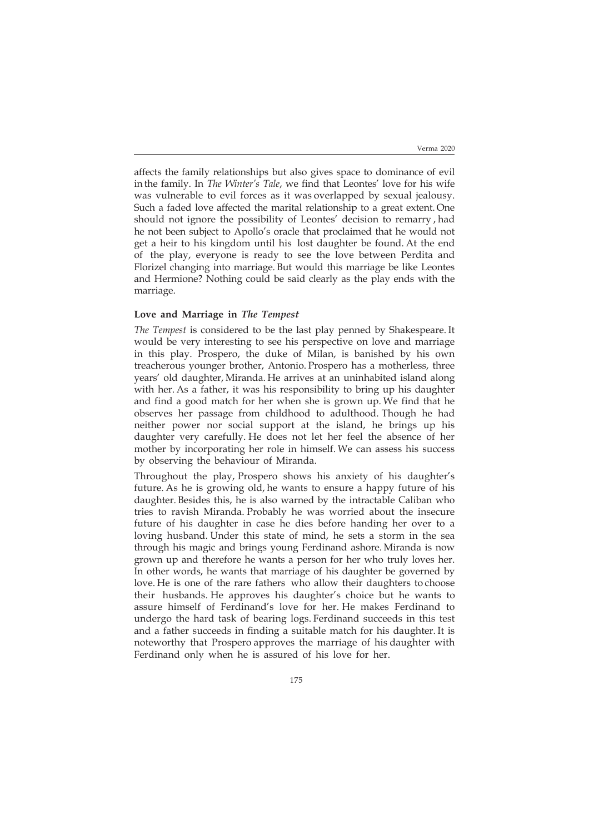affects the family relationships but also gives space to dominance of evil in the family. In *The Winter's Tale*, we find that Leontes' love for his wife was vulnerable to evil forces as it was overlapped by sexual jealousy. Such a faded love affected the marital relationship to a great extent. One should not ignore the possibility of Leontes' decision to remarry , had he not been subject to Apollo's oracle that proclaimed that he would not get a heir to his kingdom until his lost daughter be found. At the end of the play, everyone is ready to see the love between Perdita and Florizel changing into marriage. But would this marriage be like Leontes and Hermione? Nothing could be said clearly as the play ends with the marriage.

## **Love and Marriage in** *The Tempest*

*The Tempest* isconsidered to be the last play penned by Shakespeare. It would be very interesting to see his perspective on love and marriage in this play. Prospero, the duke of Milan, is banished by his own treacherous younger brother, Antonio. Prospero has a motherless, three years' old daughter, Miranda. He arrives at an uninhabited island along with her. As a father, it was his responsibility to bring up his daughter and find a good match for her when she is grown up. We find that he observes her passage from childhood to adulthood. Though he had neither power nor social support at the island, he brings up his daughter very carefully. He does not let her feel the absence of her mother by incorporating her role in himself. We can assess his success by observing the behaviour of Miranda.

Throughout the play, Prospero shows his anxiety of his daughter's future. As he is growing old, he wants to ensure a happy future of his daughter. Besides this, he is also warned by the intractable Caliban who tries to ravish Miranda. Probably he was worried about the insecure future of his daughter in case he dies before handing her over to a loving husband. Under this state of mind, he sets a storm in the sea through his magic and brings young Ferdinand ashore. Miranda is now grown up and therefore he wants a person for her who truly loves her. In other words, he wants that marriage of his daughter be governed by love. He is one of the rare fathers who allow their daughters to choose their husbands. He approves his daughter's choice but he wants to assure himself of Ferdinand's love for her. He makes Ferdinand to undergo the hard task of bearing logs. Ferdinand succeeds in this test and a father succeeds in finding a suitable match for his daughter. It is noteworthy that Prospero approves the marriage of his daughter with Ferdinand only when he is assured of his love for her.